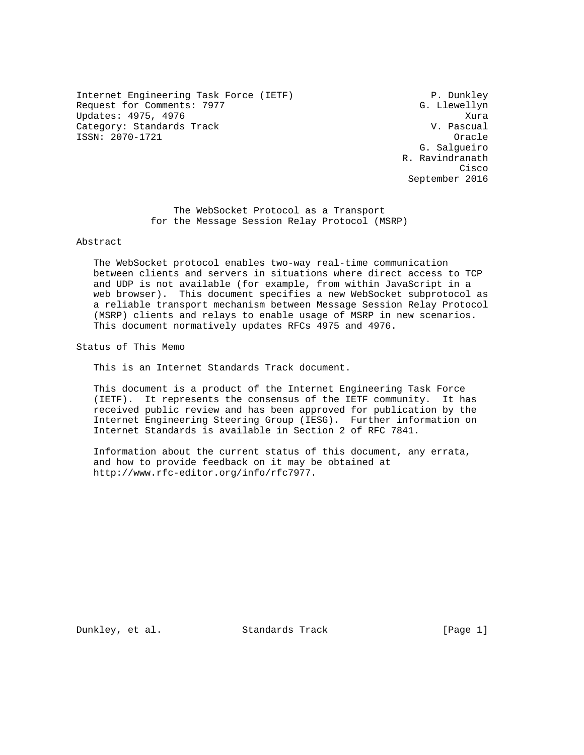Internet Engineering Task Force (IETF) P. Dunkley Request for Comments: 7977 G. Llewellyn Updates: 4975, 4976<br>Category: Standards Track Category: Xura Category: Standards Track ISSN: 2070-1721 Oracle

 G. Salgueiro R. Ravindranath **Cisco de la contrata de la contrata de la contrata de la contrata de la contrata de la contrata de la contrat** September 2016

> The WebSocket Protocol as a Transport for the Message Session Relay Protocol (MSRP)

Abstract

 The WebSocket protocol enables two-way real-time communication between clients and servers in situations where direct access to TCP and UDP is not available (for example, from within JavaScript in a web browser). This document specifies a new WebSocket subprotocol as a reliable transport mechanism between Message Session Relay Protocol (MSRP) clients and relays to enable usage of MSRP in new scenarios. This document normatively updates RFCs 4975 and 4976.

Status of This Memo

This is an Internet Standards Track document.

 This document is a product of the Internet Engineering Task Force (IETF). It represents the consensus of the IETF community. It has received public review and has been approved for publication by the Internet Engineering Steering Group (IESG). Further information on Internet Standards is available in Section 2 of RFC 7841.

 Information about the current status of this document, any errata, and how to provide feedback on it may be obtained at http://www.rfc-editor.org/info/rfc7977.

Dunkley, et al. Standards Track [Page 1]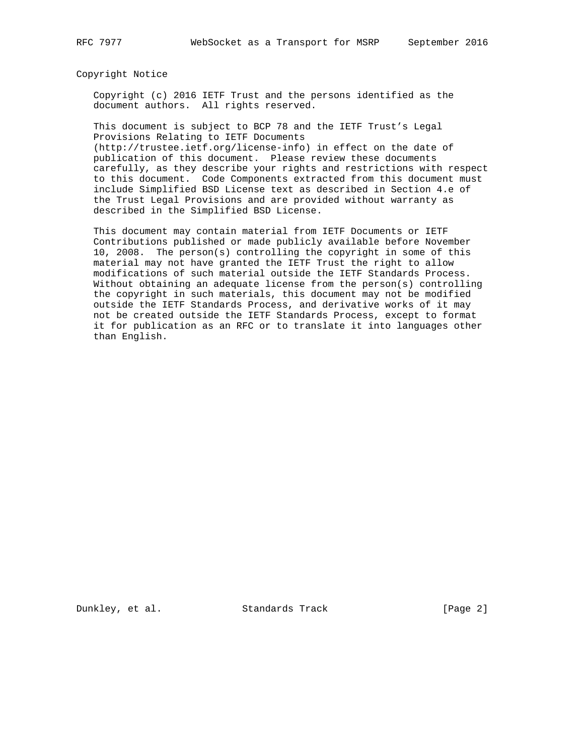Copyright Notice

 Copyright (c) 2016 IETF Trust and the persons identified as the document authors. All rights reserved.

 This document is subject to BCP 78 and the IETF Trust's Legal Provisions Relating to IETF Documents (http://trustee.ietf.org/license-info) in effect on the date of

 publication of this document. Please review these documents carefully, as they describe your rights and restrictions with respect to this document. Code Components extracted from this document must include Simplified BSD License text as described in Section 4.e of the Trust Legal Provisions and are provided without warranty as described in the Simplified BSD License.

 This document may contain material from IETF Documents or IETF Contributions published or made publicly available before November 10, 2008. The person(s) controlling the copyright in some of this material may not have granted the IETF Trust the right to allow modifications of such material outside the IETF Standards Process. Without obtaining an adequate license from the person(s) controlling the copyright in such materials, this document may not be modified outside the IETF Standards Process, and derivative works of it may not be created outside the IETF Standards Process, except to format it for publication as an RFC or to translate it into languages other than English.

Dunkley, et al. Standards Track [Page 2]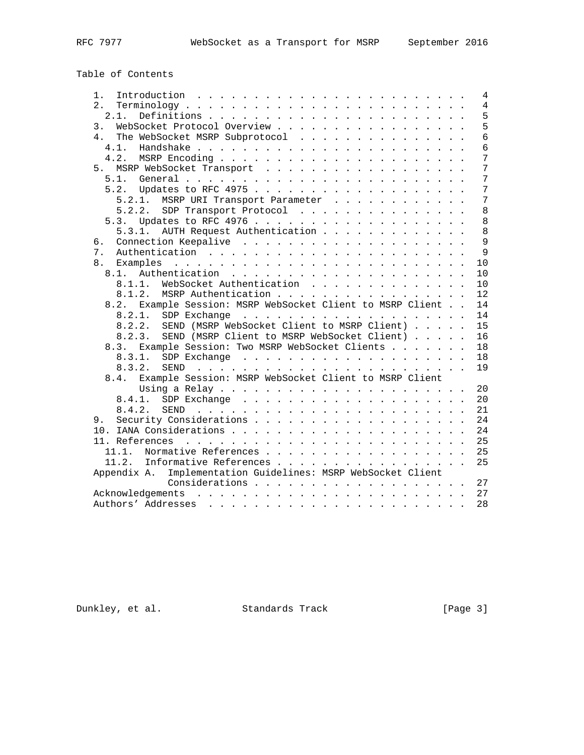Table of Contents

| Introduction $\ldots \ldots \ldots \ldots \ldots \ldots \ldots \ldots$<br>$1 \cdot$ | 4              |
|-------------------------------------------------------------------------------------|----------------|
| 2.1                                                                                 | $\overline{4}$ |
| 2.1.                                                                                | 5              |
| WebSocket Protocol Overview<br>3.                                                   | 5              |
| 4.<br>The WebSocket MSRP Subprotocol                                                | 6              |
|                                                                                     | 6              |
| 4.2.                                                                                | 7              |
| 5. MSRP WebSocket Transport                                                         | 7              |
|                                                                                     | 7              |
|                                                                                     | 7              |
| 5.2.1. MSRP URI Transport Parameter                                                 | 7              |
| 5.2.2. SDP Transport Protocol                                                       | 8              |
|                                                                                     | 8              |
| 5.3.1. AUTH Request Authentication                                                  | $\,8\,$        |
| б.                                                                                  | 9              |
| 7.                                                                                  | $\overline{9}$ |
| 8.                                                                                  | 10             |
|                                                                                     | 10             |
| WebSocket Authentication<br>8.1.1.                                                  | 10             |
| 8.1.2. MSRP Authentication                                                          | 12             |
| Example Session: MSRP WebSocket Client to MSRP Client<br>8.2.                       | 14             |
|                                                                                     | 14             |
| 8.2.2. SEND (MSRP WebSocket Client to MSRP Client)                                  | 15             |
| 8.2.3. SEND (MSRP Client to MSRP WebSocket Client)                                  | 16             |
| 8.3. Example Session: Two MSRP WebSocket Clients                                    | 18             |
| 8.3.1.                                                                              | 18             |
| 8.3.2.                                                                              | 19             |
| 8.4. Example Session: MSRP WebSocket Client to MSRP Client                          |                |
|                                                                                     | 20             |
| 8.4.1.                                                                              | 20             |
|                                                                                     | 21             |
| 9.                                                                                  | 24             |
|                                                                                     | 24             |
|                                                                                     | 25             |
| Normative References<br>11.1.                                                       | 25             |
| 11.2.<br>Informative References                                                     | 25             |
| Appendix A.<br>Implementation Guidelines: MSRP WebSocket Client                     |                |
| Considerations 27                                                                   |                |
|                                                                                     |                |
|                                                                                     | 28             |

Dunkley, et al. Standards Track [Page 3]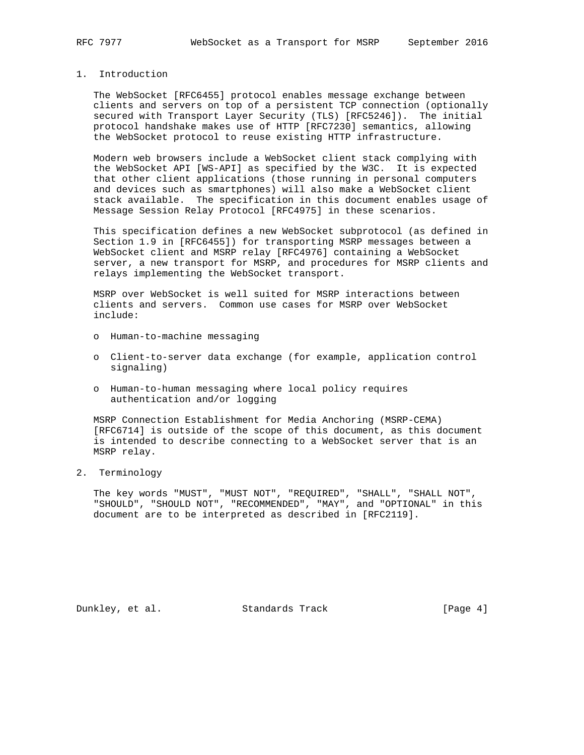# 1. Introduction

 The WebSocket [RFC6455] protocol enables message exchange between clients and servers on top of a persistent TCP connection (optionally secured with Transport Layer Security (TLS) [RFC5246]). The initial protocol handshake makes use of HTTP [RFC7230] semantics, allowing the WebSocket protocol to reuse existing HTTP infrastructure.

 Modern web browsers include a WebSocket client stack complying with the WebSocket API [WS-API] as specified by the W3C. It is expected that other client applications (those running in personal computers and devices such as smartphones) will also make a WebSocket client stack available. The specification in this document enables usage of Message Session Relay Protocol [RFC4975] in these scenarios.

 This specification defines a new WebSocket subprotocol (as defined in Section 1.9 in [RFC6455]) for transporting MSRP messages between a WebSocket client and MSRP relay [RFC4976] containing a WebSocket server, a new transport for MSRP, and procedures for MSRP clients and relays implementing the WebSocket transport.

 MSRP over WebSocket is well suited for MSRP interactions between clients and servers. Common use cases for MSRP over WebSocket include:

- o Human-to-machine messaging
- o Client-to-server data exchange (for example, application control signaling)
- o Human-to-human messaging where local policy requires authentication and/or logging

 MSRP Connection Establishment for Media Anchoring (MSRP-CEMA) [RFC6714] is outside of the scope of this document, as this document is intended to describe connecting to a WebSocket server that is an MSRP relay.

### 2. Terminology

 The key words "MUST", "MUST NOT", "REQUIRED", "SHALL", "SHALL NOT", "SHOULD", "SHOULD NOT", "RECOMMENDED", "MAY", and "OPTIONAL" in this document are to be interpreted as described in [RFC2119].

Dunkley, et al. Standards Track [Page 4]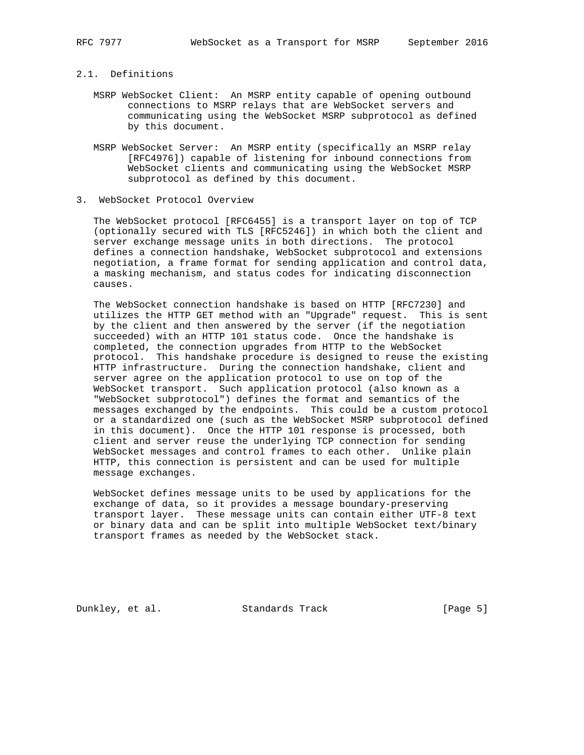# 2.1. Definitions

- MSRP WebSocket Client: An MSRP entity capable of opening outbound connections to MSRP relays that are WebSocket servers and communicating using the WebSocket MSRP subprotocol as defined by this document.
- MSRP WebSocket Server: An MSRP entity (specifically an MSRP relay [RFC4976]) capable of listening for inbound connections from WebSocket clients and communicating using the WebSocket MSRP subprotocol as defined by this document.
- 3. WebSocket Protocol Overview

 The WebSocket protocol [RFC6455] is a transport layer on top of TCP (optionally secured with TLS [RFC5246]) in which both the client and server exchange message units in both directions. The protocol defines a connection handshake, WebSocket subprotocol and extensions negotiation, a frame format for sending application and control data, a masking mechanism, and status codes for indicating disconnection causes.

 The WebSocket connection handshake is based on HTTP [RFC7230] and utilizes the HTTP GET method with an "Upgrade" request. This is sent by the client and then answered by the server (if the negotiation succeeded) with an HTTP 101 status code. Once the handshake is completed, the connection upgrades from HTTP to the WebSocket protocol. This handshake procedure is designed to reuse the existing HTTP infrastructure. During the connection handshake, client and server agree on the application protocol to use on top of the WebSocket transport. Such application protocol (also known as a "WebSocket subprotocol") defines the format and semantics of the messages exchanged by the endpoints. This could be a custom protocol or a standardized one (such as the WebSocket MSRP subprotocol defined in this document). Once the HTTP 101 response is processed, both client and server reuse the underlying TCP connection for sending WebSocket messages and control frames to each other. Unlike plain HTTP, this connection is persistent and can be used for multiple message exchanges.

 WebSocket defines message units to be used by applications for the exchange of data, so it provides a message boundary-preserving transport layer. These message units can contain either UTF-8 text or binary data and can be split into multiple WebSocket text/binary transport frames as needed by the WebSocket stack.

Dunkley, et al. Standards Track [Page 5]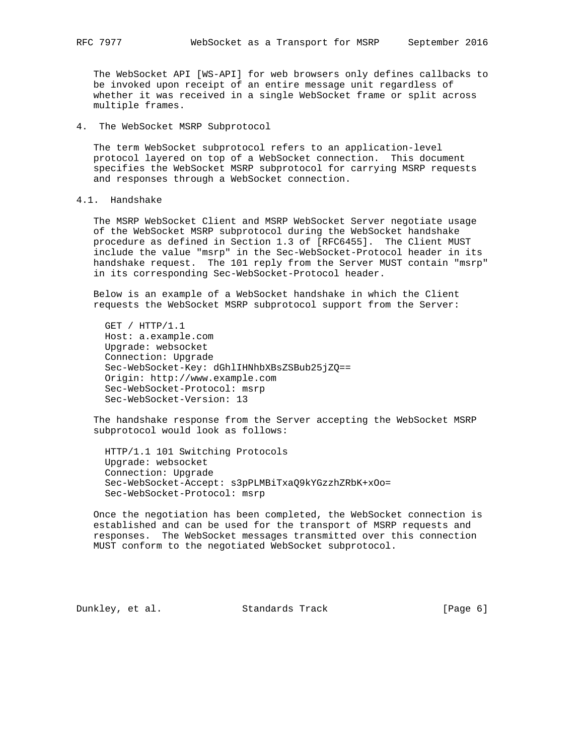The WebSocket API [WS-API] for web browsers only defines callbacks to be invoked upon receipt of an entire message unit regardless of whether it was received in a single WebSocket frame or split across multiple frames.

4. The WebSocket MSRP Subprotocol

 The term WebSocket subprotocol refers to an application-level protocol layered on top of a WebSocket connection. This document specifies the WebSocket MSRP subprotocol for carrying MSRP requests and responses through a WebSocket connection.

## 4.1. Handshake

 The MSRP WebSocket Client and MSRP WebSocket Server negotiate usage of the WebSocket MSRP subprotocol during the WebSocket handshake procedure as defined in Section 1.3 of [RFC6455]. The Client MUST include the value "msrp" in the Sec-WebSocket-Protocol header in its handshake request. The 101 reply from the Server MUST contain "msrp" in its corresponding Sec-WebSocket-Protocol header.

 Below is an example of a WebSocket handshake in which the Client requests the WebSocket MSRP subprotocol support from the Server:

 GET / HTTP/1.1 Host: a.example.com Upgrade: websocket Connection: Upgrade Sec-WebSocket-Key: dGhlIHNhbXBsZSBub25jZQ== Origin: http://www.example.com Sec-WebSocket-Protocol: msrp Sec-WebSocket-Version: 13

 The handshake response from the Server accepting the WebSocket MSRP subprotocol would look as follows:

 HTTP/1.1 101 Switching Protocols Upgrade: websocket Connection: Upgrade Sec-WebSocket-Accept: s3pPLMBiTxaQ9kYGzzhZRbK+xOo= Sec-WebSocket-Protocol: msrp

 Once the negotiation has been completed, the WebSocket connection is established and can be used for the transport of MSRP requests and responses. The WebSocket messages transmitted over this connection MUST conform to the negotiated WebSocket subprotocol.

Dunkley, et al. Standards Track [Page 6]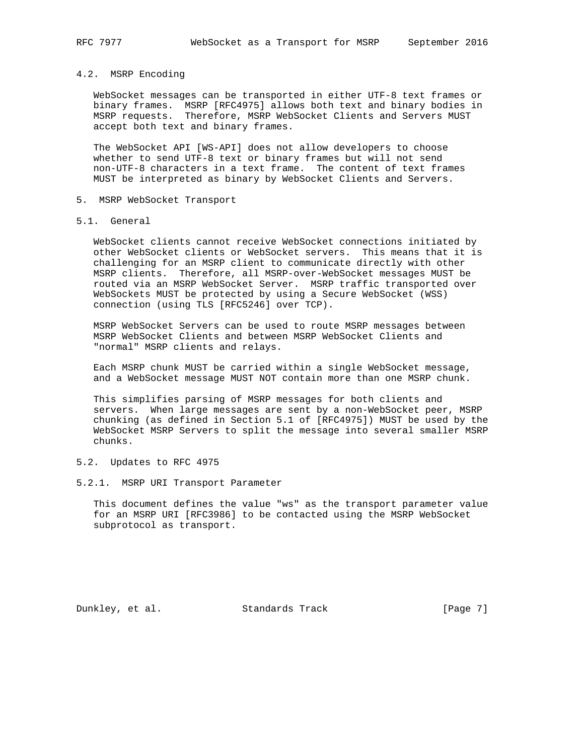## 4.2. MSRP Encoding

 WebSocket messages can be transported in either UTF-8 text frames or binary frames. MSRP [RFC4975] allows both text and binary bodies in MSRP requests. Therefore, MSRP WebSocket Clients and Servers MUST accept both text and binary frames.

 The WebSocket API [WS-API] does not allow developers to choose whether to send UTF-8 text or binary frames but will not send non-UTF-8 characters in a text frame. The content of text frames MUST be interpreted as binary by WebSocket Clients and Servers.

- 5. MSRP WebSocket Transport
- 5.1. General

 WebSocket clients cannot receive WebSocket connections initiated by other WebSocket clients or WebSocket servers. This means that it is challenging for an MSRP client to communicate directly with other MSRP clients. Therefore, all MSRP-over-WebSocket messages MUST be routed via an MSRP WebSocket Server. MSRP traffic transported over WebSockets MUST be protected by using a Secure WebSocket (WSS) connection (using TLS [RFC5246] over TCP).

 MSRP WebSocket Servers can be used to route MSRP messages between MSRP WebSocket Clients and between MSRP WebSocket Clients and "normal" MSRP clients and relays.

 Each MSRP chunk MUST be carried within a single WebSocket message, and a WebSocket message MUST NOT contain more than one MSRP chunk.

 This simplifies parsing of MSRP messages for both clients and servers. When large messages are sent by a non-WebSocket peer, MSRP chunking (as defined in Section 5.1 of [RFC4975]) MUST be used by the WebSocket MSRP Servers to split the message into several smaller MSRP chunks.

### 5.2. Updates to RFC 4975

### 5.2.1. MSRP URI Transport Parameter

 This document defines the value "ws" as the transport parameter value for an MSRP URI [RFC3986] to be contacted using the MSRP WebSocket subprotocol as transport.

Dunkley, et al. Standards Track [Page 7]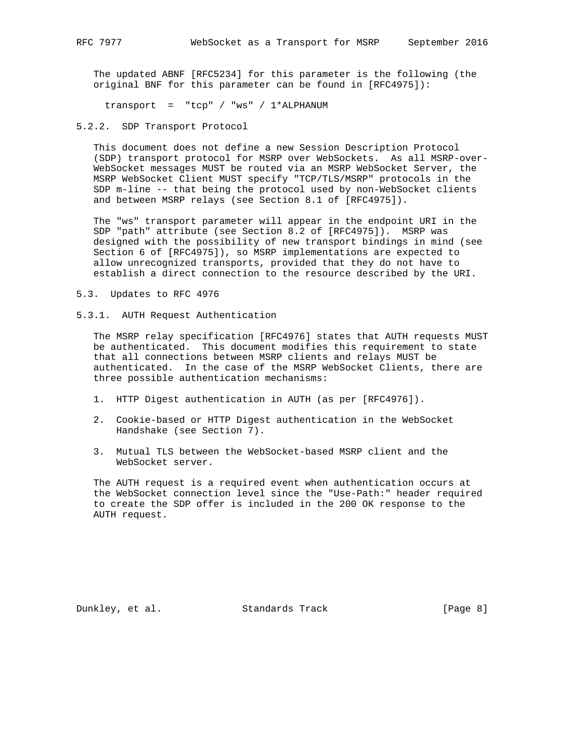The updated ABNF [RFC5234] for this parameter is the following (the original BNF for this parameter can be found in [RFC4975]):

transport = "tcp" / "ws" / 1\*ALPHANUM

5.2.2. SDP Transport Protocol

 This document does not define a new Session Description Protocol (SDP) transport protocol for MSRP over WebSockets. As all MSRP-over- WebSocket messages MUST be routed via an MSRP WebSocket Server, the MSRP WebSocket Client MUST specify "TCP/TLS/MSRP" protocols in the SDP m-line -- that being the protocol used by non-WebSocket clients and between MSRP relays (see Section 8.1 of [RFC4975]).

 The "ws" transport parameter will appear in the endpoint URI in the SDP "path" attribute (see Section 8.2 of [RFC4975]). MSRP was designed with the possibility of new transport bindings in mind (see Section 6 of [RFC4975]), so MSRP implementations are expected to allow unrecognized transports, provided that they do not have to establish a direct connection to the resource described by the URI.

5.3. Updates to RFC 4976

5.3.1. AUTH Request Authentication

 The MSRP relay specification [RFC4976] states that AUTH requests MUST be authenticated. This document modifies this requirement to state that all connections between MSRP clients and relays MUST be authenticated. In the case of the MSRP WebSocket Clients, there are three possible authentication mechanisms:

- 1. HTTP Digest authentication in AUTH (as per [RFC4976]).
- 2. Cookie-based or HTTP Digest authentication in the WebSocket Handshake (see Section 7).
- 3. Mutual TLS between the WebSocket-based MSRP client and the WebSocket server.

 The AUTH request is a required event when authentication occurs at the WebSocket connection level since the "Use-Path:" header required to create the SDP offer is included in the 200 OK response to the AUTH request.

Dunkley, et al. Standards Track [Page 8]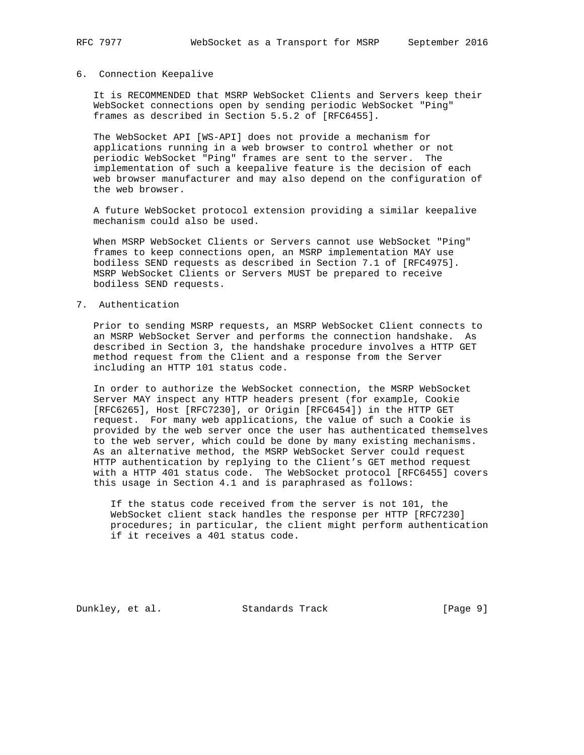### 6. Connection Keepalive

 It is RECOMMENDED that MSRP WebSocket Clients and Servers keep their WebSocket connections open by sending periodic WebSocket "Ping" frames as described in Section 5.5.2 of [RFC6455].

 The WebSocket API [WS-API] does not provide a mechanism for applications running in a web browser to control whether or not periodic WebSocket "Ping" frames are sent to the server. The implementation of such a keepalive feature is the decision of each web browser manufacturer and may also depend on the configuration of the web browser.

 A future WebSocket protocol extension providing a similar keepalive mechanism could also be used.

 When MSRP WebSocket Clients or Servers cannot use WebSocket "Ping" frames to keep connections open, an MSRP implementation MAY use bodiless SEND requests as described in Section 7.1 of [RFC4975]. MSRP WebSocket Clients or Servers MUST be prepared to receive bodiless SEND requests.

7. Authentication

 Prior to sending MSRP requests, an MSRP WebSocket Client connects to an MSRP WebSocket Server and performs the connection handshake. As described in Section 3, the handshake procedure involves a HTTP GET method request from the Client and a response from the Server including an HTTP 101 status code.

 In order to authorize the WebSocket connection, the MSRP WebSocket Server MAY inspect any HTTP headers present (for example, Cookie [RFC6265], Host [RFC7230], or Origin [RFC6454]) in the HTTP GET request. For many web applications, the value of such a Cookie is provided by the web server once the user has authenticated themselves to the web server, which could be done by many existing mechanisms. As an alternative method, the MSRP WebSocket Server could request HTTP authentication by replying to the Client's GET method request with a HTTP 401 status code. The WebSocket protocol [RFC6455] covers this usage in Section 4.1 and is paraphrased as follows:

 If the status code received from the server is not 101, the WebSocket client stack handles the response per HTTP [RFC7230] procedures; in particular, the client might perform authentication if it receives a 401 status code.

Dunkley, et al. Standards Track [Page 9]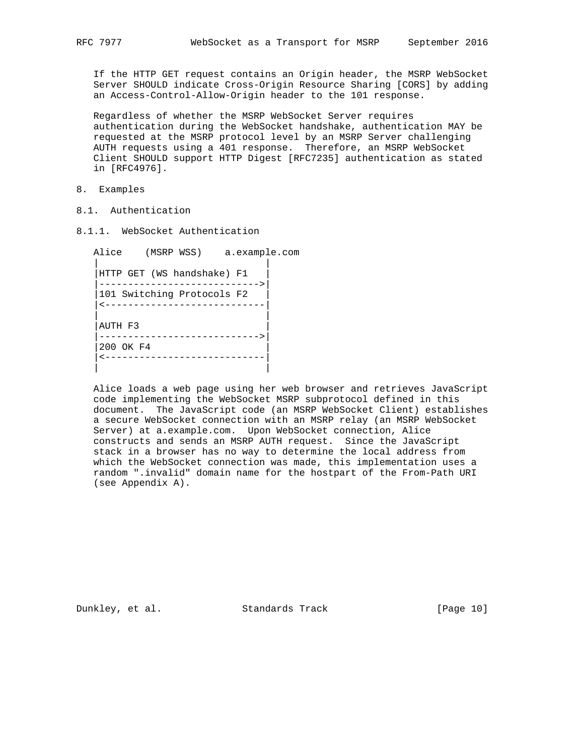If the HTTP GET request contains an Origin header, the MSRP WebSocket Server SHOULD indicate Cross-Origin Resource Sharing [CORS] by adding an Access-Control-Allow-Origin header to the 101 response.

 Regardless of whether the MSRP WebSocket Server requires authentication during the WebSocket handshake, authentication MAY be requested at the MSRP protocol level by an MSRP Server challenging AUTH requests using a 401 response. Therefore, an MSRP WebSocket Client SHOULD support HTTP Digest [RFC7235] authentication as stated in [RFC4976].

- 8. Examples
- 8.1. Authentication
- 8.1.1. WebSocket Authentication

 Alice (MSRP WSS) a.example.com | | |HTTP GET (WS handshake) F1 | |---------------------------->| |101 Switching Protocols F2 | |<----------------------------| | | |AUTH F3 | |---------------------------->| |200 OK F4 | |<----------------------------| | |

 Alice loads a web page using her web browser and retrieves JavaScript code implementing the WebSocket MSRP subprotocol defined in this document. The JavaScript code (an MSRP WebSocket Client) establishes a secure WebSocket connection with an MSRP relay (an MSRP WebSocket Server) at a.example.com. Upon WebSocket connection, Alice constructs and sends an MSRP AUTH request. Since the JavaScript stack in a browser has no way to determine the local address from which the WebSocket connection was made, this implementation uses a random ".invalid" domain name for the hostpart of the From-Path URI (see Appendix A).

Dunkley, et al. Standards Track [Page 10]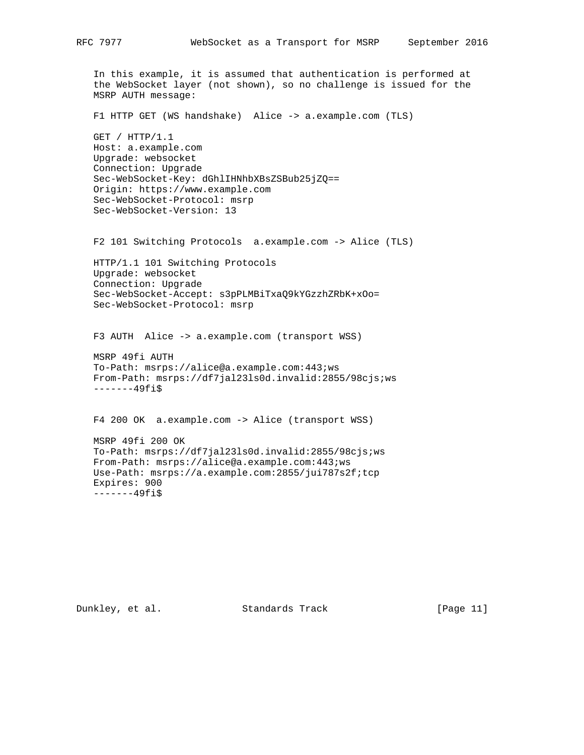In this example, it is assumed that authentication is performed at the WebSocket layer (not shown), so no challenge is issued for the MSRP AUTH message: F1 HTTP GET (WS handshake) Alice -> a.example.com (TLS) GET / HTTP/1.1 Host: a.example.com Upgrade: websocket Connection: Upgrade Sec-WebSocket-Key: dGhlIHNhbXBsZSBub25jZQ== Origin: https://www.example.com Sec-WebSocket-Protocol: msrp Sec-WebSocket-Version: 13 F2 101 Switching Protocols a.example.com -> Alice (TLS) HTTP/1.1 101 Switching Protocols Upgrade: websocket Connection: Upgrade Sec-WebSocket-Accept: s3pPLMBiTxaQ9kYGzzhZRbK+xOo= Sec-WebSocket-Protocol: msrp F3 AUTH Alice -> a.example.com (transport WSS) MSRP 49fi AUTH To-Path: msrps://alice@a.example.com:443;ws From-Path: msrps://df7jal23ls0d.invalid:2855/98cjs;ws -------49fi\$ F4 200 OK a.example.com -> Alice (transport WSS) MSRP 49fi 200 OK To-Path: msrps://df7jal23ls0d.invalid:2855/98cjs;ws From-Path: msrps://alice@a.example.com:443;ws

Use-Path: msrps://a.example.com:2855/jui787s2f;tcp

 Expires: 900 -------49fi\$

Dunkley, et al. Standards Track [Page 11]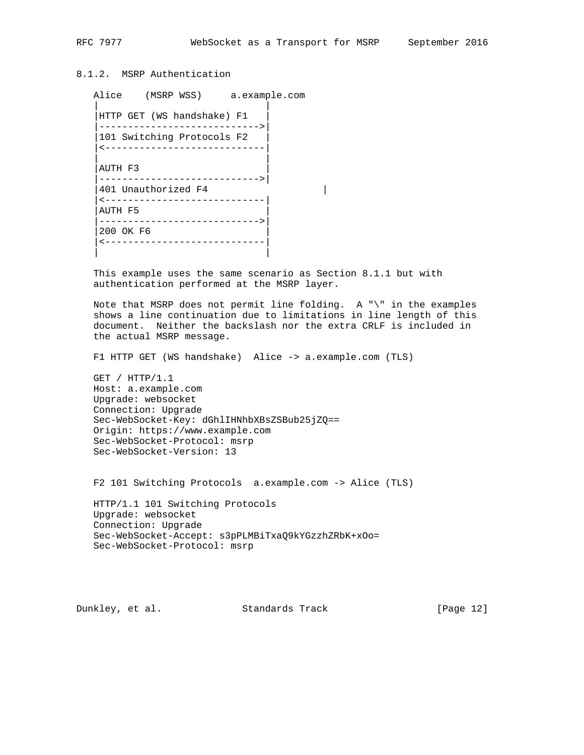# 8.1.2. MSRP Authentication

```
 Alice (MSRP WSS) a.example.com
 | |
   |HTTP GET (WS handshake) F1 |
    |---------------------------->|
   |101 Switching Protocols F2 |
   |<----------------------------|
 | |
   |AUTH F3 |
    |---------------------------->|
    |401 Unauthorized F4 |
    |<----------------------------|
    |AUTH F5 |
    |---------------------------->|
   |200 OK F6 |
    |<----------------------------|
 | |
```
 This example uses the same scenario as Section 8.1.1 but with authentication performed at the MSRP layer.

 Note that MSRP does not permit line folding. A "\" in the examples shows a line continuation due to limitations in line length of this document. Neither the backslash nor the extra CRLF is included in the actual MSRP message.

F1 HTTP GET (WS handshake) Alice -> a.example.com (TLS)

 GET / HTTP/1.1 Host: a.example.com Upgrade: websocket Connection: Upgrade Sec-WebSocket-Key: dGhlIHNhbXBsZSBub25jZQ== Origin: https://www.example.com Sec-WebSocket-Protocol: msrp Sec-WebSocket-Version: 13

F2 101 Switching Protocols a.example.com -> Alice (TLS)

 HTTP/1.1 101 Switching Protocols Upgrade: websocket Connection: Upgrade Sec-WebSocket-Accept: s3pPLMBiTxaQ9kYGzzhZRbK+xOo= Sec-WebSocket-Protocol: msrp

Dunkley, et al. Standards Track [Page 12]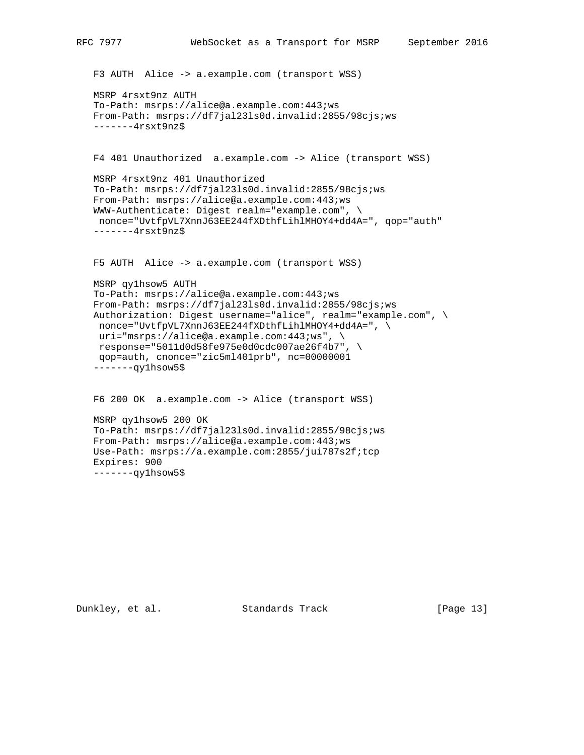```
 F3 AUTH Alice -> a.example.com (transport WSS)
 MSRP 4rsxt9nz AUTH
 To-Path: msrps://alice@a.example.com:443;ws
 From-Path: msrps://df7jal23ls0d.invalid:2855/98cjs;ws
 -------4rsxt9nz$
 F4 401 Unauthorized a.example.com -> Alice (transport WSS)
```

```
 MSRP 4rsxt9nz 401 Unauthorized
 To-Path: msrps://df7jal23ls0d.invalid:2855/98cjs;ws
 From-Path: msrps://alice@a.example.com:443;ws
 WWW-Authenticate: Digest realm="example.com", \
 nonce="UvtfpVL7XnnJ63EE244fXDthfLihlMHOY4+dd4A=", qop="auth"
 -------4rsxt9nz$
```
F5 AUTH Alice -> a.example.com (transport WSS)

```
 MSRP qy1hsow5 AUTH
 To-Path: msrps://alice@a.example.com:443;ws
 From-Path: msrps://df7jal23ls0d.invalid:2855/98cjs;ws
 Authorization: Digest username="alice", realm="example.com", \
nonce="UvtfpVL7XnnJ63EE244fXDthfLihlMHOY4+dd4A=", \
 uri="msrps://alice@a.example.com:443;ws", \
  response="5011d0d58fe975e0d0cdc007ae26f4b7", \
 qop=auth, cnonce="zic5ml401prb", nc=00000001
 -------qy1hsow5$
```
 F6 200 OK a.example.com -> Alice (transport WSS) MSRP qy1hsow5 200 OK To-Path: msrps://df7jal23ls0d.invalid:2855/98cjs;ws From-Path: msrps://alice@a.example.com:443;ws Use-Path: msrps://a.example.com:2855/jui787s2f;tcp Expires: 900

Dunkley, et al. Standards Track [Page 13]

-------qy1hsow5\$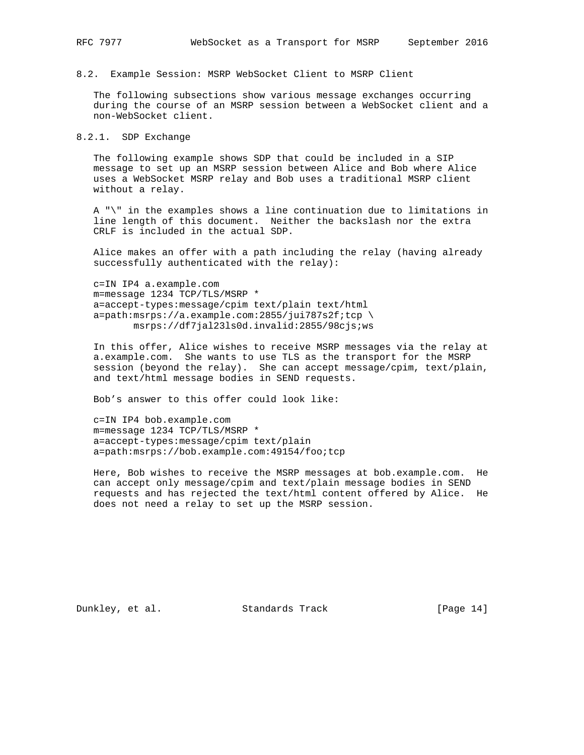8.2. Example Session: MSRP WebSocket Client to MSRP Client

 The following subsections show various message exchanges occurring during the course of an MSRP session between a WebSocket client and a non-WebSocket client.

8.2.1. SDP Exchange

 The following example shows SDP that could be included in a SIP message to set up an MSRP session between Alice and Bob where Alice uses a WebSocket MSRP relay and Bob uses a traditional MSRP client without a relay.

 A "\" in the examples shows a line continuation due to limitations in line length of this document. Neither the backslash nor the extra CRLF is included in the actual SDP.

 Alice makes an offer with a path including the relay (having already successfully authenticated with the relay):

 c=IN IP4 a.example.com m=message 1234 TCP/TLS/MSRP \* a=accept-types:message/cpim text/plain text/html a=path:msrps://a.example.com:2855/jui787s2f;tcp \ msrps://df7jal23ls0d.invalid:2855/98cjs;ws

 In this offer, Alice wishes to receive MSRP messages via the relay at a.example.com. She wants to use TLS as the transport for the MSRP session (beyond the relay). She can accept message/cpim, text/plain, and text/html message bodies in SEND requests.

Bob's answer to this offer could look like:

 c=IN IP4 bob.example.com m=message 1234 TCP/TLS/MSRP \* a=accept-types:message/cpim text/plain a=path:msrps://bob.example.com:49154/foo;tcp

 Here, Bob wishes to receive the MSRP messages at bob.example.com. He can accept only message/cpim and text/plain message bodies in SEND requests and has rejected the text/html content offered by Alice. He does not need a relay to set up the MSRP session.

Dunkley, et al. Standards Track [Page 14]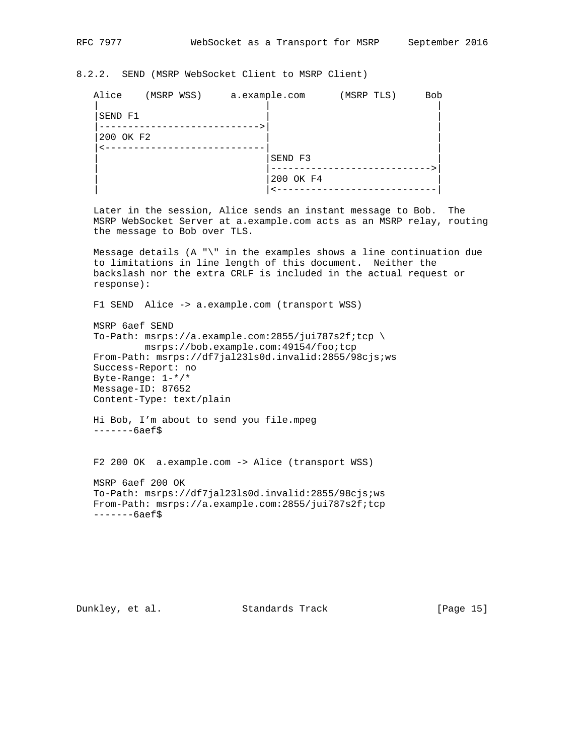# 8.2.2. SEND (MSRP WebSocket Client to MSRP Client)

| Alice     | (MSRP WSS) a.example.com | (MSRP TLS) | <b>Bob</b> |
|-----------|--------------------------|------------|------------|
| SEND F1   |                          |            |            |
| 200 OK F2 |                          |            |            |
|           | SEND F3                  |            |            |
|           | 200 OK F4                |            |            |
|           |                          |            |            |

 Later in the session, Alice sends an instant message to Bob. The MSRP WebSocket Server at a.example.com acts as an MSRP relay, routing the message to Bob over TLS.

 Message details (A "\" in the examples shows a line continuation due to limitations in line length of this document. Neither the backslash nor the extra CRLF is included in the actual request or response):

F1 SEND Alice -> a.example.com (transport WSS)

 MSRP 6aef SEND To-Path: msrps://a.example.com:2855/jui787s2f;tcp \ msrps://bob.example.com:49154/foo;tcp From-Path: msrps://df7jal23ls0d.invalid:2855/98cjs;ws Success-Report: no Byte-Range: 1-\*/\* Message-ID: 87652 Content-Type: text/plain

 Hi Bob, I'm about to send you file.mpeg -------6aef\$

F2 200 OK a.example.com -> Alice (transport WSS)

 MSRP 6aef 200 OK To-Path: msrps://df7jal23ls0d.invalid:2855/98cjs;ws From-Path: msrps://a.example.com:2855/jui787s2f;tcp -------6aef\$

Dunkley, et al. Standards Track [Page 15]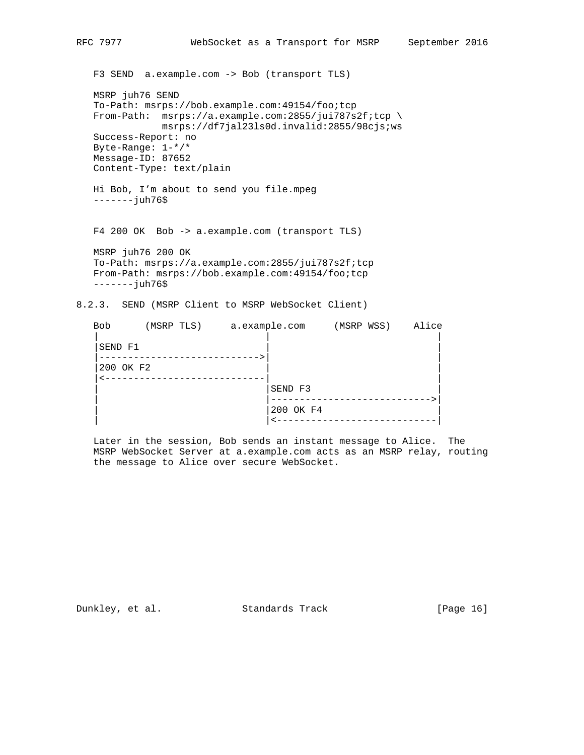F3 SEND a.example.com -> Bob (transport TLS) MSRP juh76 SEND To-Path: msrps://bob.example.com:49154/foo;tcp From-Path: msrps://a.example.com:2855/jui787s2f;tcp \ msrps://df7jal23ls0d.invalid:2855/98cjs;ws Success-Report: no Byte-Range: 1-\*/\* Message-ID: 87652 Content-Type: text/plain Hi Bob, I'm about to send you file.mpeg -------juh76\$ F4 200 OK Bob -> a.example.com (transport TLS) MSRP juh76 200 OK To-Path: msrps://a.example.com:2855/jui787s2f;tcp From-Path: msrps://bob.example.com:49154/foo;tcp -------juh76\$ 8.2.3. SEND (MSRP Client to MSRP WebSocket Client) Bob (MSRP TLS) a.example.com (MSRP WSS) Alice

| ມບມ       |  |         |           |  | <b>ALLUL</b> |
|-----------|--|---------|-----------|--|--------------|
| SEND F1   |  |         |           |  |              |
| 200 OK F2 |  | $    -$ |           |  |              |
|           |  |         | SEND F3   |  |              |
|           |  |         | 200 OK F4 |  |              |
|           |  |         |           |  |              |

 Later in the session, Bob sends an instant message to Alice. The MSRP WebSocket Server at a.example.com acts as an MSRP relay, routing the message to Alice over secure WebSocket.

Dunkley, et al. Standards Track [Page 16]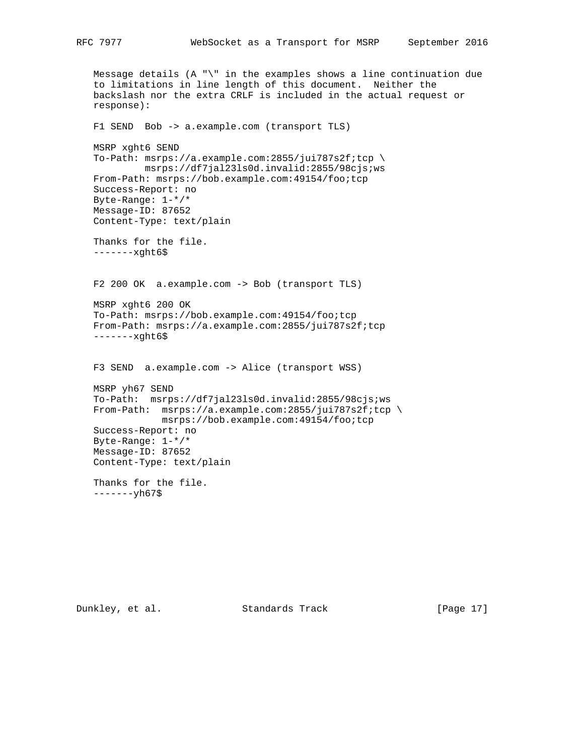```
 Message details (A "\" in the examples shows a line continuation due
 to limitations in line length of this document. Neither the
 backslash nor the extra CRLF is included in the actual request or
 response):
 F1 SEND Bob -> a.example.com (transport TLS)
 MSRP xght6 SEND
 To-Path: msrps://a.example.com:2855/jui787s2f;tcp \
         msrps://df7jal23ls0d.invalid:2855/98cjs;ws
 From-Path: msrps://bob.example.com:49154/foo;tcp
 Success-Report: no
 Byte-Range: 1-*/*
 Message-ID: 87652
 Content-Type: text/plain
 Thanks for the file.
 -------xght6$
 F2 200 OK a.example.com -> Bob (transport TLS)
 MSRP xght6 200 OK
 To-Path: msrps://bob.example.com:49154/foo;tcp
 From-Path: msrps://a.example.com:2855/jui787s2f;tcp
 -------xght6$
 F3 SEND a.example.com -> Alice (transport WSS)
 MSRP yh67 SEND
 To-Path: msrps://df7jal23ls0d.invalid:2855/98cjs;ws
 From-Path: msrps://a.example.com:2855/jui787s2f;tcp \
            msrps://bob.example.com:49154/foo;tcp
 Success-Report: no
 Byte-Range: 1-*/*
 Message-ID: 87652
 Content-Type: text/plain
 Thanks for the file.
 -------yh67$
```
Dunkley, et al. Standards Track [Page 17]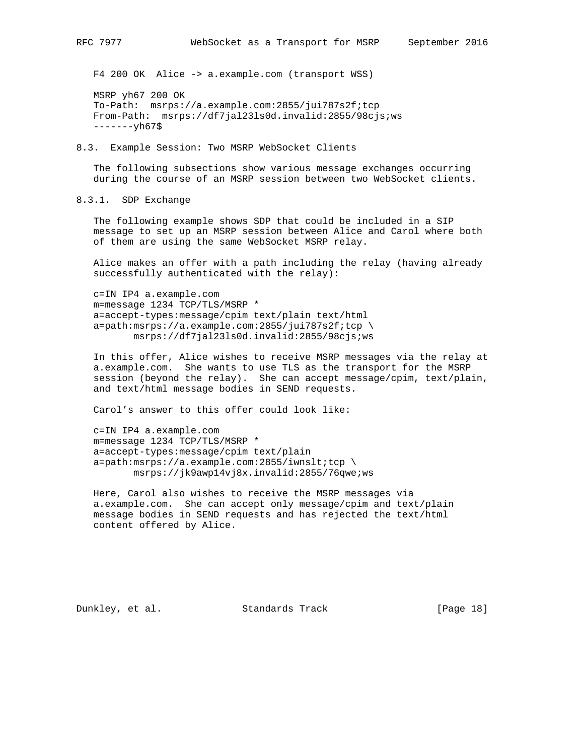F4 200 OK Alice -> a.example.com (transport WSS)

 MSRP yh67 200 OK To-Path: msrps://a.example.com:2855/jui787s2f;tcp From-Path: msrps://df7jal23ls0d.invalid:2855/98cjs;ws -------yh67\$

8.3. Example Session: Two MSRP WebSocket Clients

 The following subsections show various message exchanges occurring during the course of an MSRP session between two WebSocket clients.

8.3.1. SDP Exchange

 The following example shows SDP that could be included in a SIP message to set up an MSRP session between Alice and Carol where both of them are using the same WebSocket MSRP relay.

 Alice makes an offer with a path including the relay (having already successfully authenticated with the relay):

 c=IN IP4 a.example.com m=message 1234 TCP/TLS/MSRP \* a=accept-types:message/cpim text/plain text/html a=path:msrps://a.example.com:2855/jui787s2f;tcp \ msrps://df7jal23ls0d.invalid:2855/98cjs;ws

 In this offer, Alice wishes to receive MSRP messages via the relay at a.example.com. She wants to use TLS as the transport for the MSRP session (beyond the relay). She can accept message/cpim, text/plain, and text/html message bodies in SEND requests.

Carol's answer to this offer could look like:

 c=IN IP4 a.example.com m=message 1234 TCP/TLS/MSRP \* a=accept-types:message/cpim text/plain a=path:msrps://a.example.com:2855/iwnslt;tcp \ msrps://jk9awp14vj8x.invalid:2855/76qwe;ws

 Here, Carol also wishes to receive the MSRP messages via a.example.com. She can accept only message/cpim and text/plain message bodies in SEND requests and has rejected the text/html content offered by Alice.

Dunkley, et al. Standards Track [Page 18]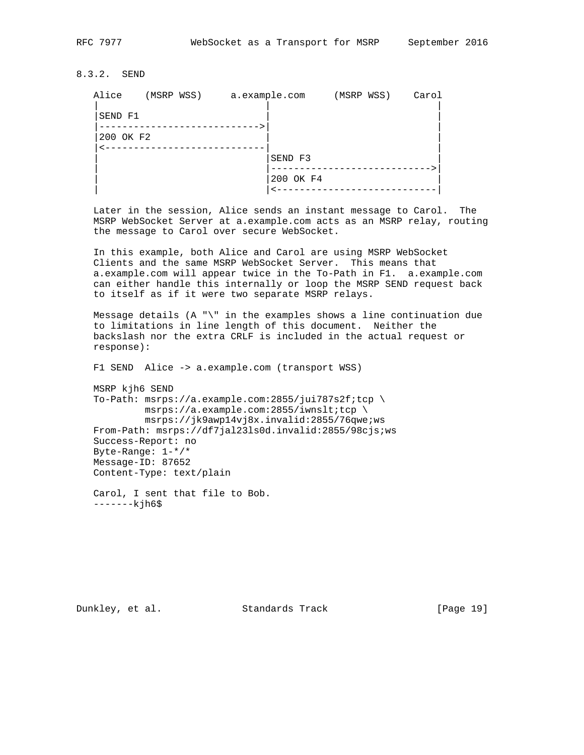8.3.2. SEND

| Alice     | (MSRP WSS) a.example.com |           | (MSRP WSS) | Carol |
|-----------|--------------------------|-----------|------------|-------|
| SEND F1   |                          |           |            |       |
| 200 OK F2 |                          |           |            |       |
|           |                          | SEND F3   |            |       |
|           |                          | 200 OK F4 |            |       |
|           |                          |           |            |       |

 Later in the session, Alice sends an instant message to Carol. The MSRP WebSocket Server at a.example.com acts as an MSRP relay, routing the message to Carol over secure WebSocket.

 In this example, both Alice and Carol are using MSRP WebSocket Clients and the same MSRP WebSocket Server. This means that a.example.com will appear twice in the To-Path in F1. a.example.com can either handle this internally or loop the MSRP SEND request back to itself as if it were two separate MSRP relays.

 Message details (A "\" in the examples shows a line continuation due to limitations in line length of this document. Neither the backslash nor the extra CRLF is included in the actual request or response):

F1 SEND Alice -> a.example.com (transport WSS)

 MSRP kjh6 SEND To-Path: msrps://a.example.com:2855/jui787s2f;tcp \ msrps://a.example.com:2855/iwnslt;tcp \ msrps://jk9awp14vj8x.invalid:2855/76qwe;ws From-Path: msrps://df7jal23ls0d.invalid:2855/98cjs;ws Success-Report: no Byte-Range: 1-\*/\* Message-ID: 87652 Content-Type: text/plain

 Carol, I sent that file to Bob. -------kjh6\$

Dunkley, et al. Standards Track [Page 19]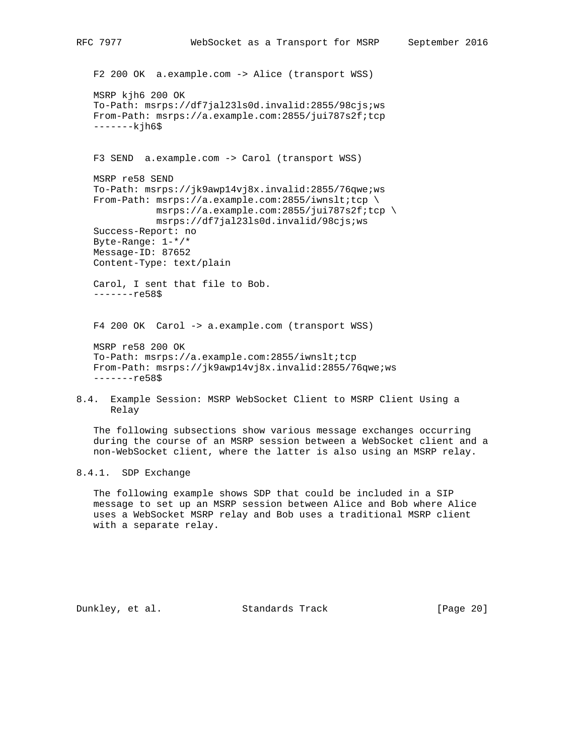F2 200 OK a.example.com -> Alice (transport WSS) MSRP kjh6 200 OK To-Path: msrps://df7jal23ls0d.invalid:2855/98cjs;ws From-Path: msrps://a.example.com:2855/jui787s2f;tcp  $---kih6$ \$ F3 SEND a.example.com -> Carol (transport WSS) MSRP re58 SEND To-Path: msrps://jk9awp14vj8x.invalid:2855/76qwe;ws From-Path: msrps://a.example.com:2855/iwnslt;tcp \ msrps://a.example.com:2855/jui787s2f;tcp \ msrps://df7jal23ls0d.invalid/98cjs;ws Success-Report: no Byte-Range: 1-\*/\* Message-ID: 87652 Content-Type: text/plain Carol, I sent that file to Bob. -------re58\$ F4 200 OK Carol -> a.example.com (transport WSS) MSRP re58 200 OK To-Path: msrps://a.example.com:2855/iwnslt;tcp From-Path: msrps://jk9awp14vj8x.invalid:2855/76qwe;ws -------re58\$

8.4. Example Session: MSRP WebSocket Client to MSRP Client Using a Relay

 The following subsections show various message exchanges occurring during the course of an MSRP session between a WebSocket client and a non-WebSocket client, where the latter is also using an MSRP relay.

8.4.1. SDP Exchange

 The following example shows SDP that could be included in a SIP message to set up an MSRP session between Alice and Bob where Alice uses a WebSocket MSRP relay and Bob uses a traditional MSRP client with a separate relay.

Dunkley, et al. Standards Track [Page 20]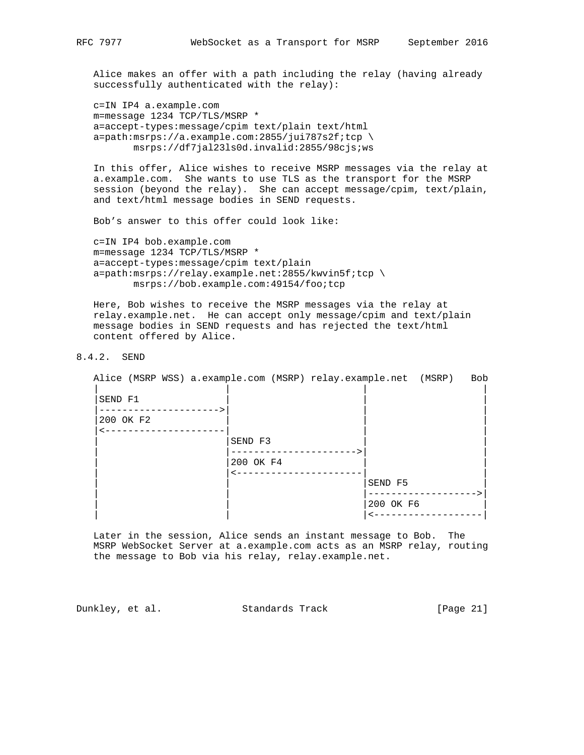Alice makes an offer with a path including the relay (having already successfully authenticated with the relay):

 c=IN IP4 a.example.com m=message 1234 TCP/TLS/MSRP \* a=accept-types:message/cpim text/plain text/html a=path:msrps://a.example.com:2855/jui787s2f;tcp \ msrps://df7jal23ls0d.invalid:2855/98cjs;ws

 In this offer, Alice wishes to receive MSRP messages via the relay at a.example.com. She wants to use TLS as the transport for the MSRP session (beyond the relay). She can accept message/cpim, text/plain, and text/html message bodies in SEND requests.

Bob's answer to this offer could look like:

 c=IN IP4 bob.example.com m=message 1234 TCP/TLS/MSRP \* a=accept-types:message/cpim text/plain a=path:msrps://relay.example.net:2855/kwvin5f;tcp \ msrps://bob.example.com:49154/foo;tcp

 Here, Bob wishes to receive the MSRP messages via the relay at relay.example.net. He can accept only message/cpim and text/plain message bodies in SEND requests and has rejected the text/html content offered by Alice.

# 8.4.2. SEND

|           | Alice (MSRP WSS) a.example.com (MSRP) relay.example.net (MSRP) Bob |           |
|-----------|--------------------------------------------------------------------|-----------|
| SEND F1   |                                                                    |           |
| 200 OK F2 |                                                                    |           |
|           | SEND F3                                                            |           |
|           | 200 OK F4                                                          |           |
|           |                                                                    | SEND F5   |
|           |                                                                    |           |
|           |                                                                    | 200 OK F6 |
|           |                                                                    |           |

 Later in the session, Alice sends an instant message to Bob. The MSRP WebSocket Server at a.example.com acts as an MSRP relay, routing the message to Bob via his relay, relay.example.net.

Dunkley, et al. Standards Track [Page 21]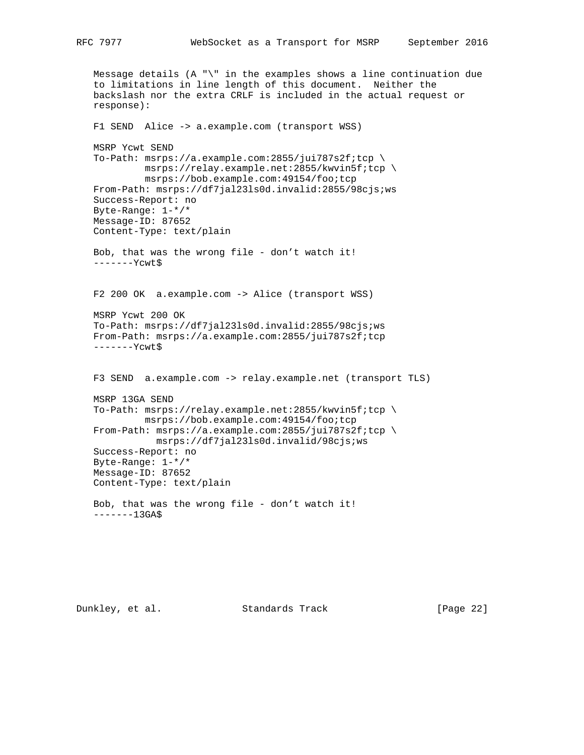```
 Message details (A "\" in the examples shows a line continuation due
 to limitations in line length of this document. Neither the
 backslash nor the extra CRLF is included in the actual request or
 response):
 F1 SEND Alice -> a.example.com (transport WSS)
 MSRP Ycwt SEND
 To-Path: msrps://a.example.com:2855/jui787s2f;tcp \
          msrps://relay.example.net:2855/kwvin5f;tcp \
         msrps://bob.example.com:49154/foo;tcp
 From-Path: msrps://df7jal23ls0d.invalid:2855/98cjs;ws
 Success-Report: no
 Byte-Range: 1-*/*
 Message-ID: 87652
 Content-Type: text/plain
 Bob, that was the wrong file - don't watch it!
 -------Ycwt$
 F2 200 OK a.example.com -> Alice (transport WSS)
 MSRP Ycwt 200 OK
 To-Path: msrps://df7jal23ls0d.invalid:2855/98cjs;ws
 From-Path: msrps://a.example.com:2855/jui787s2f;tcp
 -------Ycwt$
 F3 SEND a.example.com -> relay.example.net (transport TLS)
 MSRP 13GA SEND
 To-Path: msrps://relay.example.net:2855/kwvin5f;tcp \
         msrps://bob.example.com:49154/foo;tcp
 From-Path: msrps://a.example.com:2855/jui787s2f;tcp \
           msrps://df7jal23ls0d.invalid/98cjs;ws
 Success-Report: no
 Byte-Range: 1-*/*
 Message-ID: 87652
 Content-Type: text/plain
 Bob, that was the wrong file - don't watch it!
-----13GA$
```
Dunkley, et al. Standards Track [Page 22]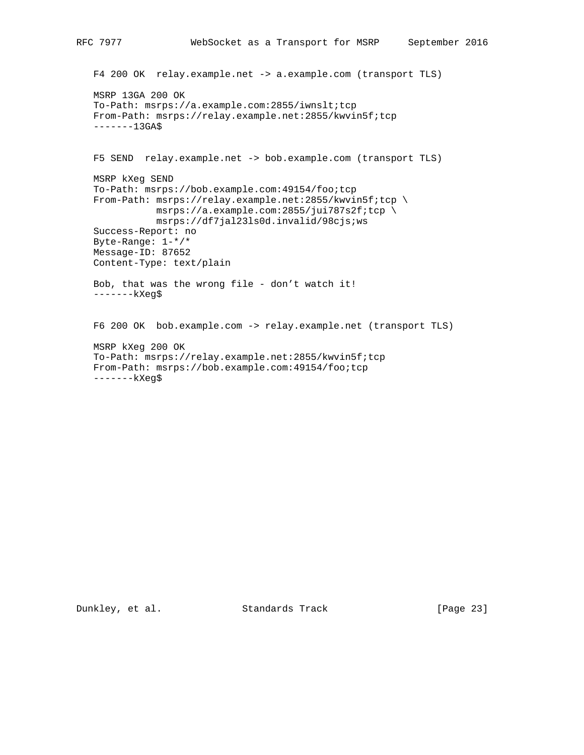```
 F4 200 OK relay.example.net -> a.example.com (transport TLS)
 MSRP 13GA 200 OK
 To-Path: msrps://a.example.com:2855/iwnslt;tcp
 From-Path: msrps://relay.example.net:2855/kwvin5f;tcp
----13GAS F5 SEND relay.example.net -> bob.example.com (transport TLS)
 MSRP kXeg SEND
 To-Path: msrps://bob.example.com:49154/foo;tcp
From-Path: msrps://relay.example.net:2855/kwvin5f;tcp \
           msrps://a.example.com:2855/jui787s2f;tcp \
           msrps://df7jal23ls0d.invalid/98cjs;ws
 Success-Report: no
 Byte-Range: 1-*/*
 Message-ID: 87652
 Content-Type: text/plain
 Bob, that was the wrong file - don't watch it!
 -------kXeg$
 F6 200 OK bob.example.com -> relay.example.net (transport TLS)
 MSRP kXeg 200 OK
 To-Path: msrps://relay.example.net:2855/kwvin5f;tcp
 From-Path: msrps://bob.example.com:49154/foo;tcp
 -------kXeg$
```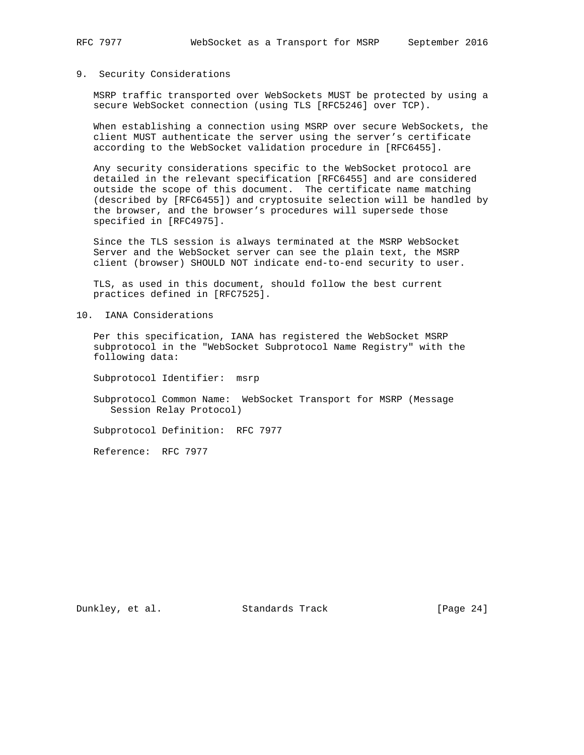## 9. Security Considerations

 MSRP traffic transported over WebSockets MUST be protected by using a secure WebSocket connection (using TLS [RFC5246] over TCP).

 When establishing a connection using MSRP over secure WebSockets, the client MUST authenticate the server using the server's certificate according to the WebSocket validation procedure in [RFC6455].

 Any security considerations specific to the WebSocket protocol are detailed in the relevant specification [RFC6455] and are considered outside the scope of this document. The certificate name matching (described by [RFC6455]) and cryptosuite selection will be handled by the browser, and the browser's procedures will supersede those specified in [RFC4975].

 Since the TLS session is always terminated at the MSRP WebSocket Server and the WebSocket server can see the plain text, the MSRP client (browser) SHOULD NOT indicate end-to-end security to user.

 TLS, as used in this document, should follow the best current practices defined in [RFC7525].

10. IANA Considerations

 Per this specification, IANA has registered the WebSocket MSRP subprotocol in the "WebSocket Subprotocol Name Registry" with the following data:

Subprotocol Identifier: msrp

 Subprotocol Common Name: WebSocket Transport for MSRP (Message Session Relay Protocol)

Subprotocol Definition: RFC 7977

Reference: RFC 7977

Dunkley, et al. Standards Track [Page 24]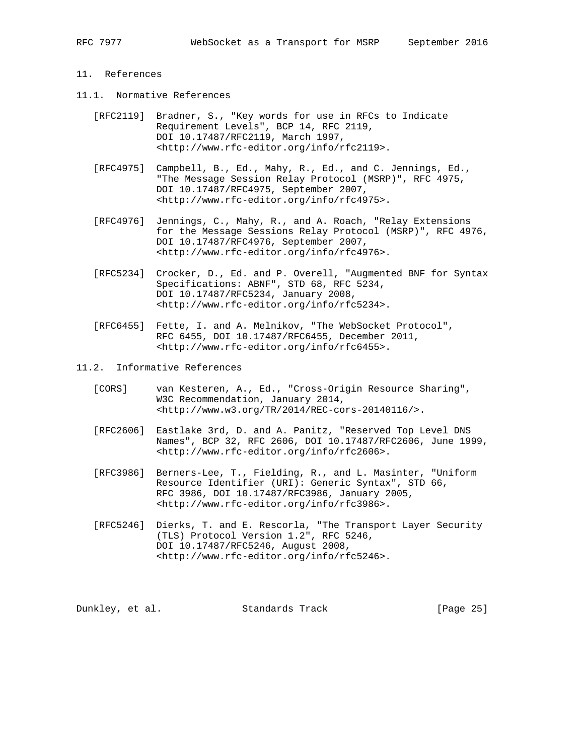# 11. References

- 11.1. Normative References
	- [RFC2119] Bradner, S., "Key words for use in RFCs to Indicate Requirement Levels", BCP 14, RFC 2119, DOI 10.17487/RFC2119, March 1997, <http://www.rfc-editor.org/info/rfc2119>.
	- [RFC4975] Campbell, B., Ed., Mahy, R., Ed., and C. Jennings, Ed., "The Message Session Relay Protocol (MSRP)", RFC 4975, DOI 10.17487/RFC4975, September 2007, <http://www.rfc-editor.org/info/rfc4975>.
	- [RFC4976] Jennings, C., Mahy, R., and A. Roach, "Relay Extensions for the Message Sessions Relay Protocol (MSRP)", RFC 4976, DOI 10.17487/RFC4976, September 2007, <http://www.rfc-editor.org/info/rfc4976>.
	- [RFC5234] Crocker, D., Ed. and P. Overell, "Augmented BNF for Syntax Specifications: ABNF", STD 68, RFC 5234, DOI 10.17487/RFC5234, January 2008, <http://www.rfc-editor.org/info/rfc5234>.
	- [RFC6455] Fette, I. and A. Melnikov, "The WebSocket Protocol", RFC 6455, DOI 10.17487/RFC6455, December 2011, <http://www.rfc-editor.org/info/rfc6455>.
- 11.2. Informative References
	- [CORS] van Kesteren, A., Ed., "Cross-Origin Resource Sharing", W3C Recommendation, January 2014, <http://www.w3.org/TR/2014/REC-cors-20140116/>.
	- [RFC2606] Eastlake 3rd, D. and A. Panitz, "Reserved Top Level DNS Names", BCP 32, RFC 2606, DOI 10.17487/RFC2606, June 1999, <http://www.rfc-editor.org/info/rfc2606>.
	- [RFC3986] Berners-Lee, T., Fielding, R., and L. Masinter, "Uniform Resource Identifier (URI): Generic Syntax", STD 66, RFC 3986, DOI 10.17487/RFC3986, January 2005, <http://www.rfc-editor.org/info/rfc3986>.
	- [RFC5246] Dierks, T. and E. Rescorla, "The Transport Layer Security (TLS) Protocol Version 1.2", RFC 5246, DOI 10.17487/RFC5246, August 2008, <http://www.rfc-editor.org/info/rfc5246>.

Dunkley, et al. Standards Track [Page 25]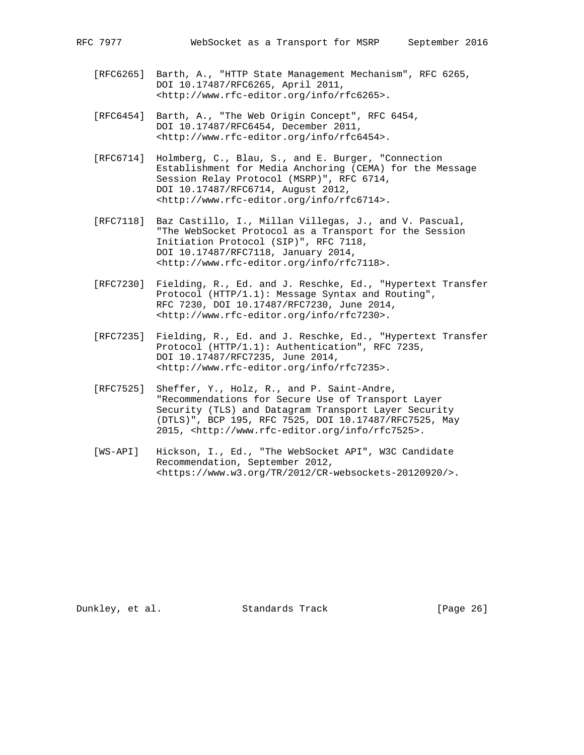- [RFC6265] Barth, A., "HTTP State Management Mechanism", RFC 6265, DOI 10.17487/RFC6265, April 2011, <http://www.rfc-editor.org/info/rfc6265>.
- [RFC6454] Barth, A., "The Web Origin Concept", RFC 6454, DOI 10.17487/RFC6454, December 2011, <http://www.rfc-editor.org/info/rfc6454>.
- [RFC6714] Holmberg, C., Blau, S., and E. Burger, "Connection Establishment for Media Anchoring (CEMA) for the Message Session Relay Protocol (MSRP)", RFC 6714, DOI 10.17487/RFC6714, August 2012, <http://www.rfc-editor.org/info/rfc6714>.
- [RFC7118] Baz Castillo, I., Millan Villegas, J., and V. Pascual, "The WebSocket Protocol as a Transport for the Session Initiation Protocol (SIP)", RFC 7118, DOI 10.17487/RFC7118, January 2014, <http://www.rfc-editor.org/info/rfc7118>.
- [RFC7230] Fielding, R., Ed. and J. Reschke, Ed., "Hypertext Transfer Protocol (HTTP/1.1): Message Syntax and Routing", RFC 7230, DOI 10.17487/RFC7230, June 2014, <http://www.rfc-editor.org/info/rfc7230>.
- [RFC7235] Fielding, R., Ed. and J. Reschke, Ed., "Hypertext Transfer Protocol (HTTP/1.1): Authentication", RFC 7235, DOI 10.17487/RFC7235, June 2014, <http://www.rfc-editor.org/info/rfc7235>.
- [RFC7525] Sheffer, Y., Holz, R., and P. Saint-Andre, "Recommendations for Secure Use of Transport Layer Security (TLS) and Datagram Transport Layer Security (DTLS)", BCP 195, RFC 7525, DOI 10.17487/RFC7525, May 2015, <http://www.rfc-editor.org/info/rfc7525>.
- [WS-API] Hickson, I., Ed., "The WebSocket API", W3C Candidate Recommendation, September 2012, <https://www.w3.org/TR/2012/CR-websockets-20120920/>.

Dunkley, et al. Standards Track [Page 26]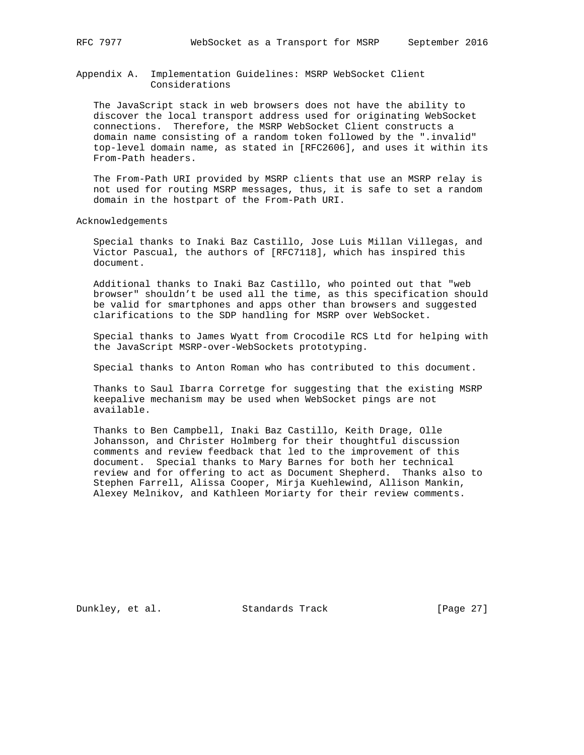## Appendix A. Implementation Guidelines: MSRP WebSocket Client Considerations

 The JavaScript stack in web browsers does not have the ability to discover the local transport address used for originating WebSocket connections. Therefore, the MSRP WebSocket Client constructs a domain name consisting of a random token followed by the ".invalid" top-level domain name, as stated in [RFC2606], and uses it within its From-Path headers.

 The From-Path URI provided by MSRP clients that use an MSRP relay is not used for routing MSRP messages, thus, it is safe to set a random domain in the hostpart of the From-Path URI.

### Acknowledgements

 Special thanks to Inaki Baz Castillo, Jose Luis Millan Villegas, and Victor Pascual, the authors of [RFC7118], which has inspired this document.

 Additional thanks to Inaki Baz Castillo, who pointed out that "web browser" shouldn't be used all the time, as this specification should be valid for smartphones and apps other than browsers and suggested clarifications to the SDP handling for MSRP over WebSocket.

 Special thanks to James Wyatt from Crocodile RCS Ltd for helping with the JavaScript MSRP-over-WebSockets prototyping.

Special thanks to Anton Roman who has contributed to this document.

 Thanks to Saul Ibarra Corretge for suggesting that the existing MSRP keepalive mechanism may be used when WebSocket pings are not available.

 Thanks to Ben Campbell, Inaki Baz Castillo, Keith Drage, Olle Johansson, and Christer Holmberg for their thoughtful discussion comments and review feedback that led to the improvement of this document. Special thanks to Mary Barnes for both her technical review and for offering to act as Document Shepherd. Thanks also to Stephen Farrell, Alissa Cooper, Mirja Kuehlewind, Allison Mankin, Alexey Melnikov, and Kathleen Moriarty for their review comments.

Dunkley, et al. Standards Track [Page 27]